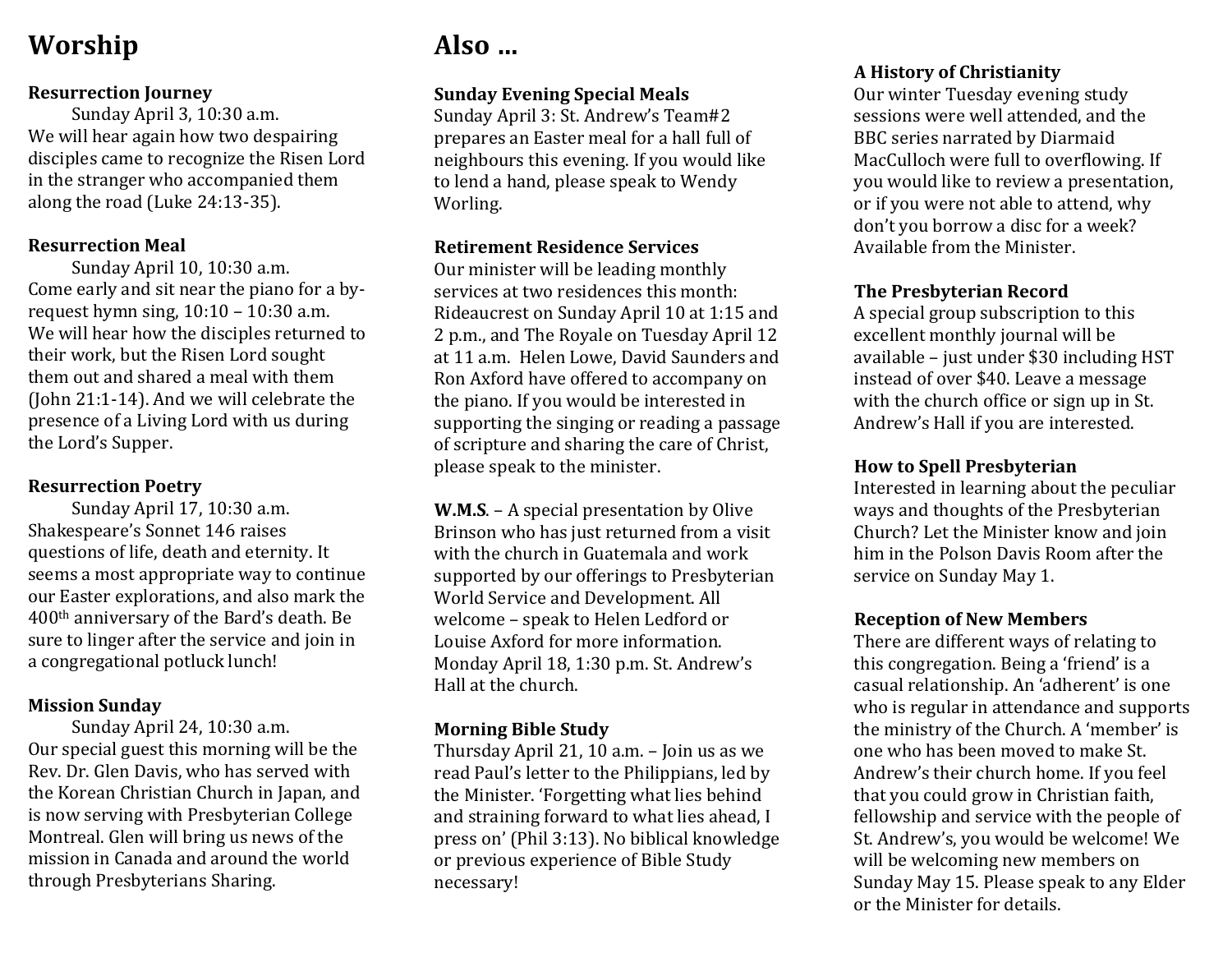## **Worship**

#### **Resurrection Journey**

Sunday April 3, 10:30 a.m. We will hear again how two despairing disciples came to recognize the Risen Lord in the stranger who accompanied them along the road (Luke 24:13-35).

#### **Resurrection Meal**

Sunday April 10, 10:30 a.m. Come early and sit near the piano for a byrequest hymn sing, 10:10 – 10:30 a.m. We will hear how the disciples returned to their work, but the Risen Lord sought them out and shared a meal with them (John 21:1-14). And we will celebrate the presence of a Living Lord with us during the Lord's Supper.

#### **Resurrection Poetry**

Sunday April 17, 10:30 a.m. Shakespeare's Sonnet 146 raises questions of life, death and eternity. It seems a most appropriate way to continue our Easter explorations, and also mark the 400th anniversary of the Bard's death. Be sure to linger after the service and join in a congregational potluck lunch!

#### **Mission Sunday**

Sunday April 24, 10:30 a.m. Our special guest this morning will be the Rev. Dr. Glen Davis, who has served with the Korean Christian Church in Japan, and is now serving with Presbyterian College Montreal. Glen will bring us news of the mission in Canada and around the world through Presbyterians Sharing.

## **Also …**

#### **Sunday Evening Special Meals**

Sunday April 3: St. Andrew's Team#2 prepares an Easter meal for a hall full of neighbours this evening. If you would like to lend a hand, please speak to Wendy Worling.

#### **Retirement Residence Services**

Our minister will be leading monthly services at two residences this month: Rideaucrest on Sunday April 10 at 1:15 and 2 p.m., and The Royale on Tuesday April 12 at 11 a.m. Helen Lowe, David Saunders and Ron Axford have offered to accompany on the piano. If you would be interested in supporting the singing or reading a passage of scripture and sharing the care of Christ, please speak to the minister.

**W.M.S**. – A special presentation by Olive Brinson who has just returned from a visit with the church in Guatemala and work supported by our offerings to Presbyterian World Service and Development. All welcome – speak to Helen Ledford or Louise Axford for more information. Monday April 18, 1:30 p.m. St. Andrew's Hall at the church.

#### **Morning Bible Study**

Thursday April 21, 10 a.m. – Join us as we read Paul's letter to the Philippians, led by the Minister. 'Forgetting what lies behind and straining forward to what lies ahead, I press on' (Phil 3:13). No biblical knowledge or previous experience of Bible Study necessary!

### **A History of Christianity**

Our winter Tuesday evening study sessions were well attended, and the BBC series narrated by Diarmaid MacCulloch were full to overflowing. If you would like to review a presentation, or if you were not able to attend, why don't you borrow a disc for a week? Available from the Minister.

### **The Presbyterian Record**

A special group subscription to this excellent monthly journal will be available – just under \$30 including HST instead of over \$40. Leave a message with the church office or sign up in St. Andrew's Hall if you are interested.

#### **How to Spell Presbyterian**

Interested in learning about the peculiar ways and thoughts of the Presbyterian Church? Let the Minister know and join him in the Polson Davis Room after the service on Sunday May 1.

#### **Reception of New Members**

There are different ways of relating to this congregation. Being a 'friend' is a casual relationship. An 'adherent' is one who is regular in attendance and supports the ministry of the Church. A 'member' is one who has been moved to make St. Andrew's their church home. If you feel that you could grow in Christian faith, fellowship and service with the people of St. Andrew's, you would be welcome! We will be welcoming new members on Sunday May 15. Please speak to any Elder or the Minister for details.